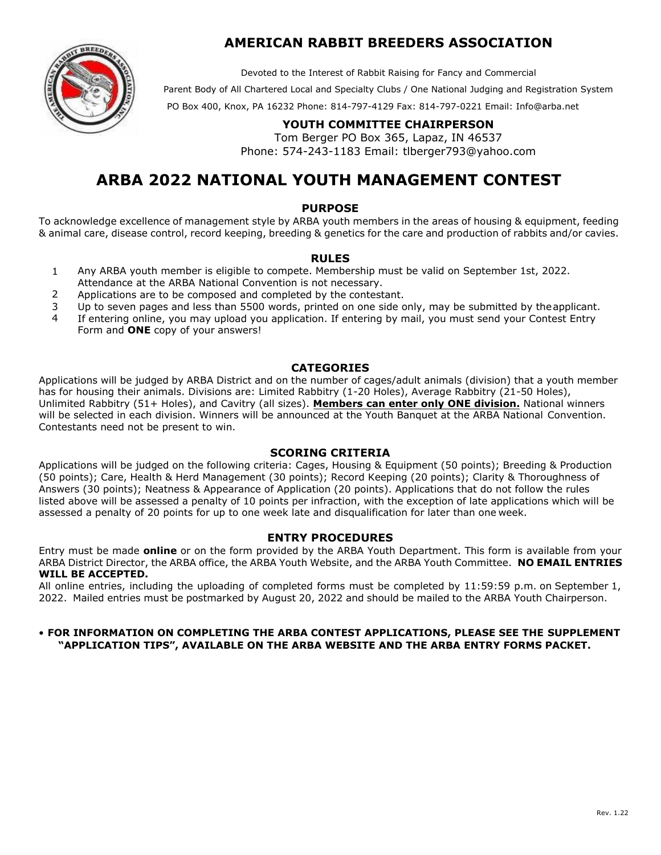

### **AMERICAN RABBIT BREEDERS ASSOCIATION**

Devoted to the Interest of Rabbit Raising for Fancy and Commercial

Parent Body of All Chartered Local and Specialty Clubs / One National Judging and Registration System

PO Box 400, Knox, PA 16232 Phone: 814-797-4129 Fax: 814-797-0221 Email: Info@[arba.net](mailto:Info@arba.net) 

### **YOUTH COMMITTEE CHAIRPERSON**

Tom Berger PO Box 365, Lapaz, IN 46537 Phone: 574-243-1183 Email: tlbe[rger793@yahoo.c](mailto:youth@arba.net)om

# **ARBA 2022 NATIONAL YOUTH MANAGEMENT CONTEST**

#### **PURPOSE**

To acknowledge excellence of management style by ARBA youth members in the areas of housing & equipment, feeding & animal care, disease control, record keeping, breeding & genetics for the care and production of rabbits and/or cavies.

#### **RULES**

- 1 Any ARBA youth member is eligible to compete. Membership must be valid on September 1st, 2022. Attendance at the ARBA National Convention is not necessary.
- 2 Applications are to be composed and completed by the contestant.
- 3 Up to seven pages and less than 5500 words, printed on one side only, may be submitted by the applicant.
- 4 If entering online, you may upload you application. If entering by mail, you must send your Contest Entry Form and **ONE** copy of your answers!

#### **CATEGORIES**

Applications will be judged by ARBA District and on the number of cages/adult animals (division) that a youth member has for housing their animals. Divisions are: Limited Rabbitry (1-20 Holes), Average Rabbitry (21-50 Holes), Unlimited Rabbitry (51+ Holes), and Cavitry (all sizes). **Members can enter only ONE division.** National winners will be selected in each division. Winners will be announced at the Youth Banquet at the ARBA National Convention. Contestants need not be present to win.

#### **SCORING CRITERIA**

Applications will be judged on the following criteria: Cages, Housing & Equipment (50 points); Breeding & Production (50 points); Care, Health & Herd Management (30 points); Record Keeping (20 points); Clarity & Thoroughness of Answers (30 points); Neatness & Appearance of Application (20 points). Applications that do not follow the rules listed above will be assessed a penalty of 10 points per infraction, with the exception of late applications which will be assessed a penalty of 20 points for up to one week late and disqualification for later than one week.

#### **ENTRY PROCEDURES**

Entry must be made **online** or on the form provided by the ARBA Youth Department. This form is available from your ARBA District Director, the ARBA office, the ARBA Youth Website, and the ARBA Youth Committee. **NO EMAIL ENTRIES WILL BE ACCEPTED.** 

All online entries, including the uploading of completed forms must be completed by 11:59:59 p.m. on September 1, 2022. Mailed entries must be postmarked by August 20, 2022 and should be mailed to the ARBA Youth Chairperson.

#### • **FOR INFORMATION ON COMPLETING THE ARBA CONTEST APPLICATIONS, PLEASE SEE THE SUPPLEMENT "APPLICATION TIPS", AVAILABLE ON THE ARBA WEBSITE AND THE ARBA ENTRY FORMS PACKET.**